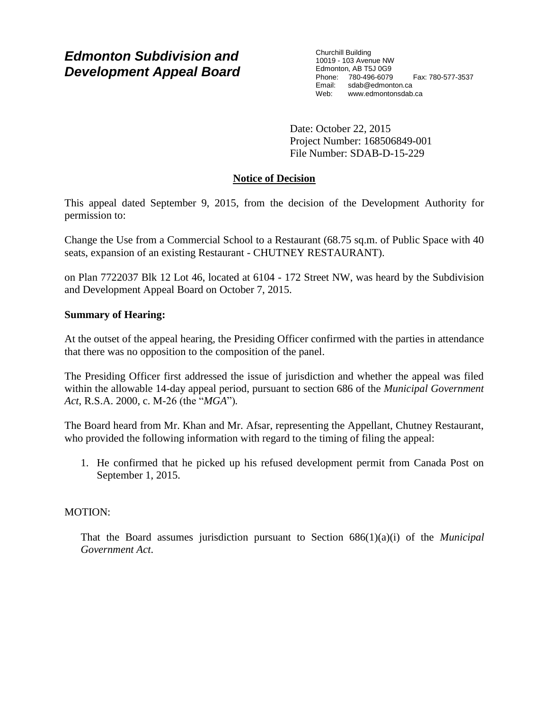# *Edmonton Subdivision and Development Appeal Board*

Churchill Building 10019 - 103 Avenue NW Edmonton, AB T5J 0G9 Phone: 780-496-6079 Fax: 780-577-3537 Email: sdab@edmonton.ca Web: www.edmontonsdab.ca

Date: October 22, 2015 Project Number: 168506849-001 File Number: SDAB-D-15-229

# **Notice of Decision**

This appeal dated September 9, 2015, from the decision of the Development Authority for permission to:

Change the Use from a Commercial School to a Restaurant (68.75 sq.m. of Public Space with 40 seats, expansion of an existing Restaurant - CHUTNEY RESTAURANT).

on Plan 7722037 Blk 12 Lot 46, located at 6104 - 172 Street NW, was heard by the Subdivision and Development Appeal Board on October 7, 2015.

## **Summary of Hearing:**

At the outset of the appeal hearing, the Presiding Officer confirmed with the parties in attendance that there was no opposition to the composition of the panel.

The Presiding Officer first addressed the issue of jurisdiction and whether the appeal was filed within the allowable 14-day appeal period, pursuant to section 686 of the *Municipal Government Act*, R.S.A. 2000, c. M-26 (the "*MGA*")*.*

The Board heard from Mr. Khan and Mr. Afsar, representing the Appellant, Chutney Restaurant, who provided the following information with regard to the timing of filing the appeal:

1. He confirmed that he picked up his refused development permit from Canada Post on September 1, 2015.

# MOTION:

That the Board assumes jurisdiction pursuant to Section 686(1)(a)(i) of the *Municipal Government Act*.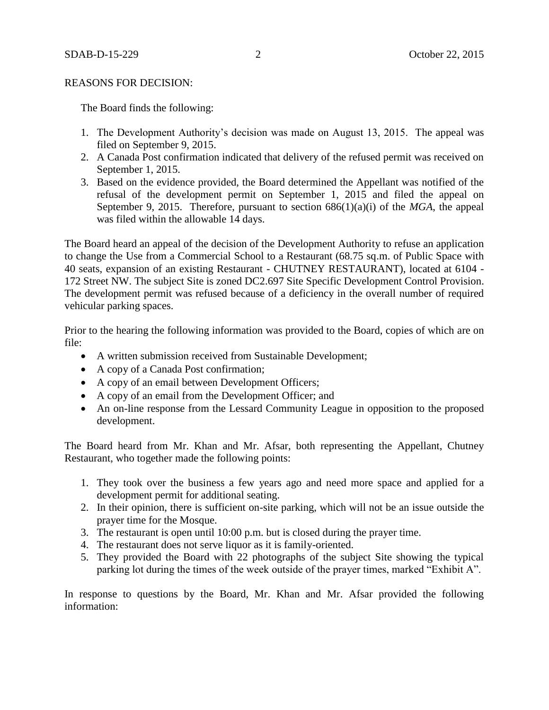### REASONS FOR DECISION:

The Board finds the following:

- 1. The Development Authority's decision was made on August 13, 2015. The appeal was filed on September 9, 2015.
- 2. A Canada Post confirmation indicated that delivery of the refused permit was received on September 1, 2015.
- 3. Based on the evidence provided, the Board determined the Appellant was notified of the refusal of the development permit on September 1, 2015 and filed the appeal on September 9, 2015. Therefore, pursuant to section 686(1)(a)(i) of the *MGA*, the appeal was filed within the allowable 14 days.

The Board heard an appeal of the decision of the Development Authority to refuse an application to change the Use from a Commercial School to a Restaurant (68.75 sq.m. of Public Space with 40 seats, expansion of an existing Restaurant - CHUTNEY RESTAURANT), located at 6104 - 172 Street NW. The subject Site is zoned DC2.697 Site Specific Development Control Provision. The development permit was refused because of a deficiency in the overall number of required vehicular parking spaces.

Prior to the hearing the following information was provided to the Board, copies of which are on file:

- A written submission received from Sustainable Development;
- A copy of a Canada Post confirmation;
- A copy of an email between Development Officers;
- A copy of an email from the Development Officer; and
- An on-line response from the Lessard Community League in opposition to the proposed development.

The Board heard from Mr. Khan and Mr. Afsar, both representing the Appellant, Chutney Restaurant, who together made the following points:

- 1. They took over the business a few years ago and need more space and applied for a development permit for additional seating.
- 2. In their opinion, there is sufficient on-site parking, which will not be an issue outside the prayer time for the Mosque.
- 3. The restaurant is open until 10:00 p.m. but is closed during the prayer time.
- 4. The restaurant does not serve liquor as it is family-oriented.
- 5. They provided the Board with 22 photographs of the subject Site showing the typical parking lot during the times of the week outside of the prayer times, marked "Exhibit A".

In response to questions by the Board, Mr. Khan and Mr. Afsar provided the following information: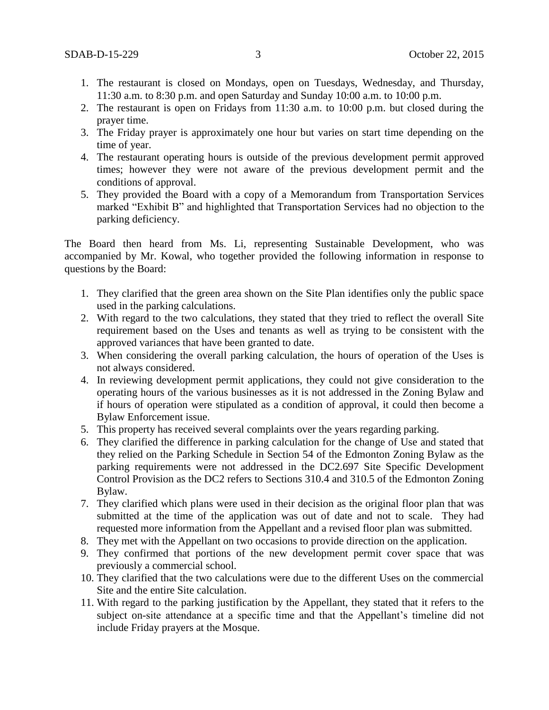- 1. The restaurant is closed on Mondays, open on Tuesdays, Wednesday, and Thursday, 11:30 a.m. to 8:30 p.m. and open Saturday and Sunday 10:00 a.m. to 10:00 p.m.
- 2. The restaurant is open on Fridays from 11:30 a.m. to 10:00 p.m. but closed during the prayer time.
- 3. The Friday prayer is approximately one hour but varies on start time depending on the time of year.
- 4. The restaurant operating hours is outside of the previous development permit approved times; however they were not aware of the previous development permit and the conditions of approval.
- 5. They provided the Board with a copy of a Memorandum from Transportation Services marked "Exhibit B" and highlighted that Transportation Services had no objection to the parking deficiency.

The Board then heard from Ms. Li, representing Sustainable Development, who was accompanied by Mr. Kowal, who together provided the following information in response to questions by the Board:

- 1. They clarified that the green area shown on the Site Plan identifies only the public space used in the parking calculations.
- 2. With regard to the two calculations, they stated that they tried to reflect the overall Site requirement based on the Uses and tenants as well as trying to be consistent with the approved variances that have been granted to date.
- 3. When considering the overall parking calculation, the hours of operation of the Uses is not always considered.
- 4. In reviewing development permit applications, they could not give consideration to the operating hours of the various businesses as it is not addressed in the Zoning Bylaw and if hours of operation were stipulated as a condition of approval, it could then become a Bylaw Enforcement issue.
- 5. This property has received several complaints over the years regarding parking.
- 6. They clarified the difference in parking calculation for the change of Use and stated that they relied on the Parking Schedule in Section 54 of the Edmonton Zoning Bylaw as the parking requirements were not addressed in the DC2.697 Site Specific Development Control Provision as the DC2 refers to Sections 310.4 and 310.5 of the Edmonton Zoning Bylaw.
- 7. They clarified which plans were used in their decision as the original floor plan that was submitted at the time of the application was out of date and not to scale. They had requested more information from the Appellant and a revised floor plan was submitted.
- 8. They met with the Appellant on two occasions to provide direction on the application.
- 9. They confirmed that portions of the new development permit cover space that was previously a commercial school.
- 10. They clarified that the two calculations were due to the different Uses on the commercial Site and the entire Site calculation.
- 11. With regard to the parking justification by the Appellant, they stated that it refers to the subject on-site attendance at a specific time and that the Appellant's timeline did not include Friday prayers at the Mosque.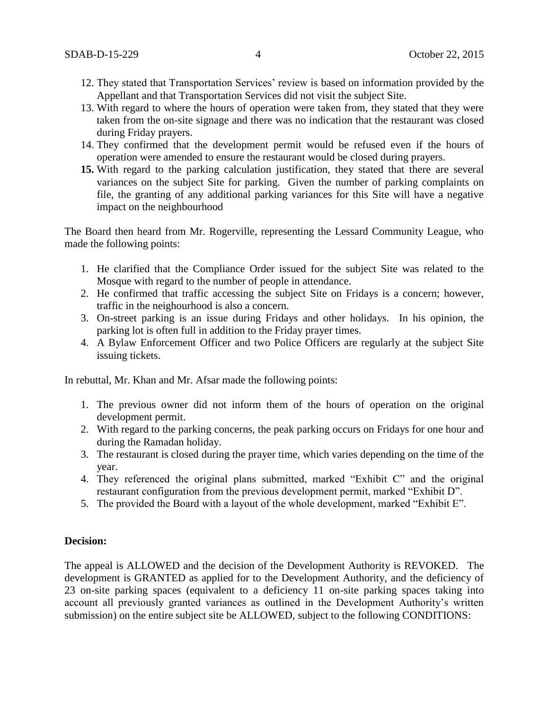- 12. They stated that Transportation Services' review is based on information provided by the Appellant and that Transportation Services did not visit the subject Site.
- 13. With regard to where the hours of operation were taken from, they stated that they were taken from the on-site signage and there was no indication that the restaurant was closed during Friday prayers.
- 14. They confirmed that the development permit would be refused even if the hours of operation were amended to ensure the restaurant would be closed during prayers.
- **15.** With regard to the parking calculation justification, they stated that there are several variances on the subject Site for parking. Given the number of parking complaints on file, the granting of any additional parking variances for this Site will have a negative impact on the neighbourhood

The Board then heard from Mr. Rogerville, representing the Lessard Community League, who made the following points:

- 1. He clarified that the Compliance Order issued for the subject Site was related to the Mosque with regard to the number of people in attendance.
- 2. He confirmed that traffic accessing the subject Site on Fridays is a concern; however, traffic in the neighourhood is also a concern.
- 3. On-street parking is an issue during Fridays and other holidays. In his opinion, the parking lot is often full in addition to the Friday prayer times.
- 4. A Bylaw Enforcement Officer and two Police Officers are regularly at the subject Site issuing tickets.

In rebuttal, Mr. Khan and Mr. Afsar made the following points:

- 1. The previous owner did not inform them of the hours of operation on the original development permit.
- 2. With regard to the parking concerns, the peak parking occurs on Fridays for one hour and during the Ramadan holiday.
- 3. The restaurant is closed during the prayer time, which varies depending on the time of the year.
- 4. They referenced the original plans submitted, marked "Exhibit C" and the original restaurant configuration from the previous development permit, marked "Exhibit D".
- 5. The provided the Board with a layout of the whole development, marked "Exhibit E".

### **Decision:**

The appeal is ALLOWED and the decision of the Development Authority is REVOKED. The development is GRANTED as applied for to the Development Authority, and the deficiency of 23 on-site parking spaces (equivalent to a deficiency 11 on-site parking spaces taking into account all previously granted variances as outlined in the Development Authority's written submission) on the entire subject site be ALLOWED, subject to the following CONDITIONS: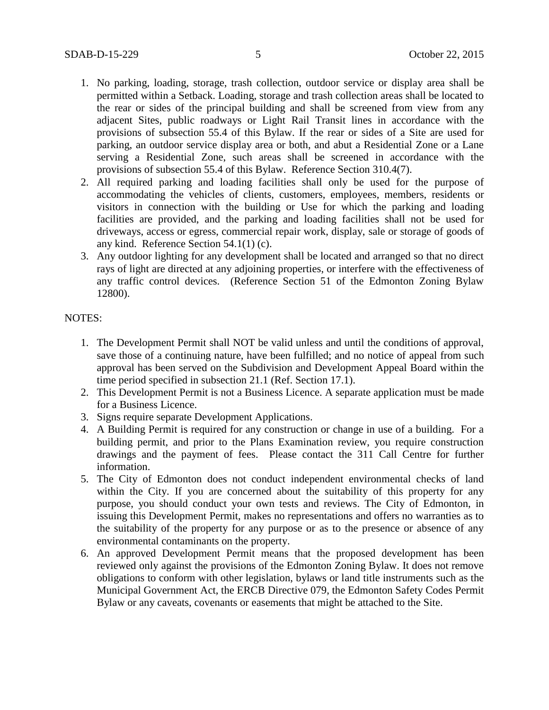- 1. No parking, loading, storage, trash collection, outdoor service or display area shall be permitted within a Setback. Loading, storage and trash collection areas shall be located to the rear or sides of the principal building and shall be screened from view from any adjacent Sites, public roadways or Light Rail Transit lines in accordance with the provisions of subsection 55.4 of this Bylaw. If the rear or sides of a Site are used for parking, an outdoor service display area or both, and abut a Residential Zone or a Lane serving a Residential Zone, such areas shall be screened in accordance with the provisions of subsection 55.4 of this Bylaw. Reference Section 310.4(7).
- 2. All required parking and loading facilities shall only be used for the purpose of accommodating the vehicles of clients, customers, employees, members, residents or visitors in connection with the building or Use for which the parking and loading facilities are provided, and the parking and loading facilities shall not be used for driveways, access or egress, commercial repair work, display, sale or storage of goods of any kind. Reference Section 54.1(1) (c).
- 3. Any outdoor lighting for any development shall be located and arranged so that no direct rays of light are directed at any adjoining properties, or interfere with the effectiveness of any traffic control devices. (Reference Section 51 of the Edmonton Zoning Bylaw 12800).

## NOTES:

- 1. The Development Permit shall NOT be valid unless and until the conditions of approval, save those of a continuing nature, have been fulfilled; and no notice of appeal from such approval has been served on the Subdivision and Development Appeal Board within the time period specified in subsection 21.1 (Ref. Section 17.1).
- 2. This Development Permit is not a Business Licence. A separate application must be made for a Business Licence.
- 3. Signs require separate Development Applications.
- 4. A Building Permit is required for any construction or change in use of a building. For a building permit, and prior to the Plans Examination review, you require construction drawings and the payment of fees. Please contact the 311 Call Centre for further information.
- 5. The City of Edmonton does not conduct independent environmental checks of land within the City. If you are concerned about the suitability of this property for any purpose, you should conduct your own tests and reviews. The City of Edmonton, in issuing this Development Permit, makes no representations and offers no warranties as to the suitability of the property for any purpose or as to the presence or absence of any environmental contaminants on the property.
- 6. An approved Development Permit means that the proposed development has been reviewed only against the provisions of the Edmonton Zoning Bylaw. It does not remove obligations to conform with other legislation, bylaws or land title instruments such as the Municipal Government Act, the ERCB Directive 079, the Edmonton Safety Codes Permit Bylaw or any caveats, covenants or easements that might be attached to the Site.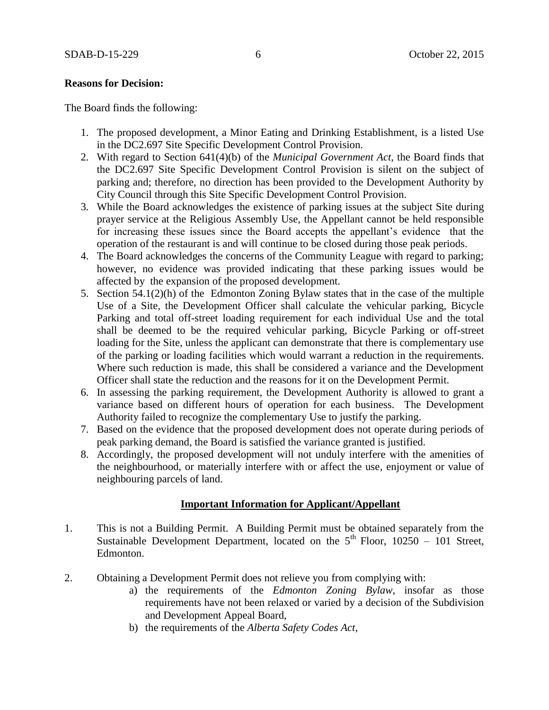### **Reasons for Decision:**

The Board finds the following:

- 1. The proposed development, a Minor Eating and Drinking Establishment, is a listed Use in the DC2.697 Site Specific Development Control Provision.
- 2. With regard to Section 641(4)(b) of the *Municipal Government Act*, the Board finds that the DC2.697 Site Specific Development Control Provision is silent on the subject of parking and; therefore, no direction has been provided to the Development Authority by City Council through this Site Specific Development Control Provision.
- 3. While the Board acknowledges the existence of parking issues at the subject Site during prayer service at the Religious Assembly Use, the Appellant cannot be held responsible for increasing these issues since the Board accepts the appellant's evidence that the operation of the restaurant is and will continue to be closed during those peak periods.
- 4. The Board acknowledges the concerns of the Community League with regard to parking; however, no evidence was provided indicating that these parking issues would be affected by the expansion of the proposed development.
- 5. Section 54.1(2)(h) of the Edmonton Zoning Bylaw states that in the case of the multiple Use of a Site, the Development Officer shall calculate the vehicular parking, Bicycle Parking and total off-street loading requirement for each individual Use and the total shall be deemed to be the required vehicular parking, Bicycle Parking or off-street loading for the Site, unless the applicant can demonstrate that there is complementary use of the parking or loading facilities which would warrant a reduction in the requirements. Where such reduction is made, this shall be considered a variance and the Development Officer shall state the reduction and the reasons for it on the Development Permit.
- 6. In assessing the parking requirement, the Development Authority is allowed to grant a variance based on different hours of operation for each business. The Development Authority failed to recognize the complementary Use to justify the parking.
- 7. Based on the evidence that the proposed development does not operate during periods of peak parking demand, the Board is satisfied the variance granted is justified.
- 8. Accordingly, the proposed development will not unduly interfere with the amenities of the neighbourhood, or materially interfere with or affect the use, enjoyment or value of neighbouring parcels of land.

## **Important Information for Applicant/Appellant**

- 1. This is not a Building Permit. A Building Permit must be obtained separately from the Sustainable Development Department, located on the  $5<sup>th</sup>$  Floor, 10250 – 101 Street, Edmonton.
- 2. Obtaining a Development Permit does not relieve you from complying with:
	- a) the requirements of the *Edmonton Zoning Bylaw*, insofar as those requirements have not been relaxed or varied by a decision of the Subdivision and Development Appeal Board,
	- b) the requirements of the *Alberta Safety Codes Act*,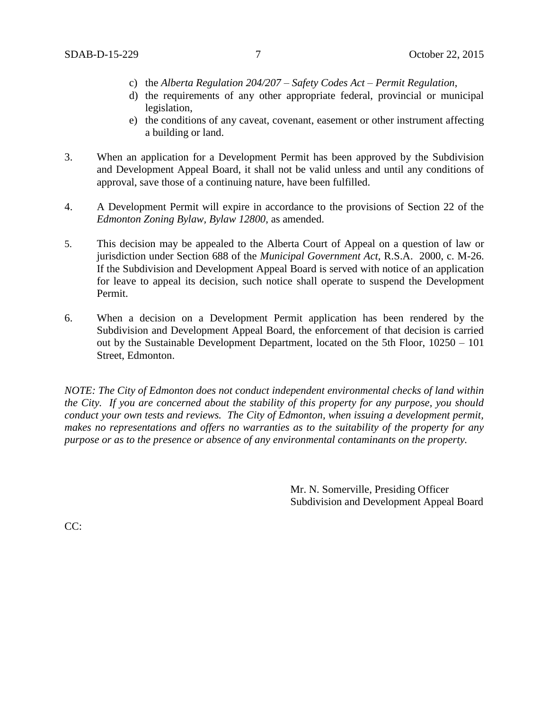- c) the *Alberta Regulation 204/207 – Safety Codes Act – Permit Regulation*,
- d) the requirements of any other appropriate federal, provincial or municipal legislation,
- e) the conditions of any caveat, covenant, easement or other instrument affecting a building or land.
- 3. When an application for a Development Permit has been approved by the Subdivision and Development Appeal Board, it shall not be valid unless and until any conditions of approval, save those of a continuing nature, have been fulfilled.
- 4. A Development Permit will expire in accordance to the provisions of Section 22 of the *Edmonton Zoning Bylaw, Bylaw 12800*, as amended.
- 5. This decision may be appealed to the Alberta Court of Appeal on a question of law or jurisdiction under Section 688 of the *Municipal Government Act*, R.S.A. 2000, c. M-26. If the Subdivision and Development Appeal Board is served with notice of an application for leave to appeal its decision, such notice shall operate to suspend the Development Permit.
- 6. When a decision on a Development Permit application has been rendered by the Subdivision and Development Appeal Board, the enforcement of that decision is carried out by the Sustainable Development Department, located on the 5th Floor, 10250 – 101 Street, Edmonton.

*NOTE: The City of Edmonton does not conduct independent environmental checks of land within the City. If you are concerned about the stability of this property for any purpose, you should conduct your own tests and reviews. The City of Edmonton, when issuing a development permit, makes no representations and offers no warranties as to the suitability of the property for any purpose or as to the presence or absence of any environmental contaminants on the property.*

> Mr. N. Somerville, Presiding Officer Subdivision and Development Appeal Board

CC: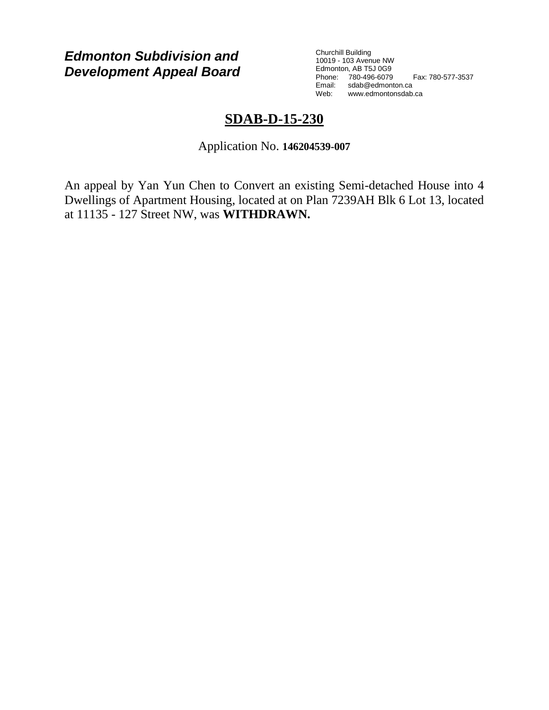*Edmonton Subdivision and Development Appeal Board*

Churchill Building 10019 - 103 Avenue NW Edmonton, AB T5J 0G9 Phone: 780-496-6079 Fax: 780-577-3537 Email: sdab@edmonton.ca<br>Web: www.edmonton.ca Web: www.edmontonsdab.ca

# **SDAB-D-15-230**

Application No. **146204539-007**

An appeal by Yan Yun Chen to Convert an existing Semi-detached House into 4 Dwellings of Apartment Housing, located at on Plan 7239AH Blk 6 Lot 13, located at 11135 - 127 Street NW, was **WITHDRAWN.**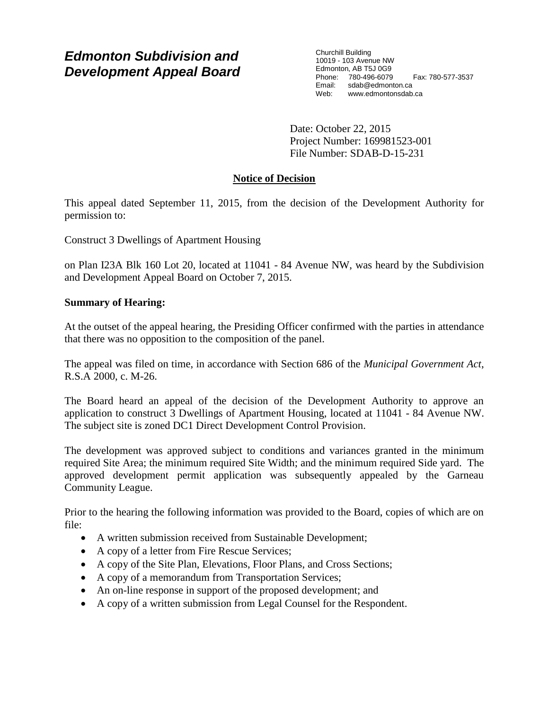# *Edmonton Subdivision and Development Appeal Board*

Churchill Building 10019 - 103 Avenue NW Edmonton, AB T5J 0G9 Phone: 780-496-6079 Fax: 780-577-3537 Email: sdab@edmonton.ca Web: www.edmontonsdab.ca

Date: October 22, 2015 Project Number: 169981523-001 File Number: SDAB-D-15-231

# **Notice of Decision**

This appeal dated September 11, 2015, from the decision of the Development Authority for permission to:

Construct 3 Dwellings of Apartment Housing

on Plan I23A Blk 160 Lot 20, located at 11041 - 84 Avenue NW, was heard by the Subdivision and Development Appeal Board on October 7, 2015.

# **Summary of Hearing:**

At the outset of the appeal hearing, the Presiding Officer confirmed with the parties in attendance that there was no opposition to the composition of the panel.

The appeal was filed on time, in accordance with Section 686 of the *Municipal Government Act*, R.S.A 2000, c. M-26.

The Board heard an appeal of the decision of the Development Authority to approve an application to construct 3 Dwellings of Apartment Housing, located at 11041 - 84 Avenue NW. The subject site is zoned DC1 Direct Development Control Provision.

The development was approved subject to conditions and variances granted in the minimum required Site Area; the minimum required Site Width; and the minimum required Side yard. The approved development permit application was subsequently appealed by the Garneau Community League.

Prior to the hearing the following information was provided to the Board, copies of which are on file:

- A written submission received from Sustainable Development;
- A copy of a letter from Fire Rescue Services;
- A copy of the Site Plan, Elevations, Floor Plans, and Cross Sections;
- A copy of a memorandum from Transportation Services;
- An on-line response in support of the proposed development; and
- A copy of a written submission from Legal Counsel for the Respondent.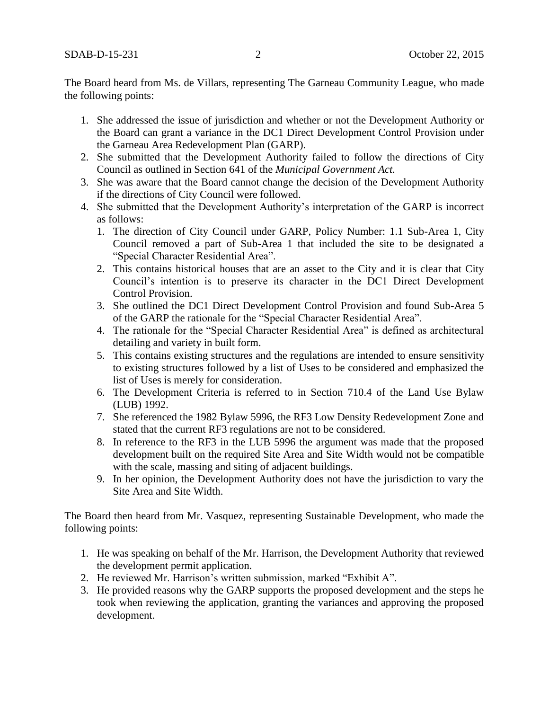The Board heard from Ms. de Villars, representing The Garneau Community League, who made the following points:

- 1. She addressed the issue of jurisdiction and whether or not the Development Authority or the Board can grant a variance in the DC1 Direct Development Control Provision under the Garneau Area Redevelopment Plan (GARP).
- 2. She submitted that the Development Authority failed to follow the directions of City Council as outlined in Section 641 of the *Municipal Government Act.*
- 3. She was aware that the Board cannot change the decision of the Development Authority if the directions of City Council were followed.
- 4. She submitted that the Development Authority's interpretation of the GARP is incorrect as follows:
	- 1. The direction of City Council under GARP, Policy Number: 1.1 Sub-Area 1, City Council removed a part of Sub-Area 1 that included the site to be designated a "Special Character Residential Area".
	- 2. This contains historical houses that are an asset to the City and it is clear that City Council's intention is to preserve its character in the DC1 Direct Development Control Provision.
	- 3. She outlined the DC1 Direct Development Control Provision and found Sub-Area 5 of the GARP the rationale for the "Special Character Residential Area".
	- 4. The rationale for the "Special Character Residential Area" is defined as architectural detailing and variety in built form.
	- 5. This contains existing structures and the regulations are intended to ensure sensitivity to existing structures followed by a list of Uses to be considered and emphasized the list of Uses is merely for consideration.
	- 6. The Development Criteria is referred to in Section 710.4 of the Land Use Bylaw (LUB) 1992.
	- 7. She referenced the 1982 Bylaw 5996, the RF3 Low Density Redevelopment Zone and stated that the current RF3 regulations are not to be considered.
	- 8. In reference to the RF3 in the LUB 5996 the argument was made that the proposed development built on the required Site Area and Site Width would not be compatible with the scale, massing and siting of adjacent buildings.
	- 9. In her opinion, the Development Authority does not have the jurisdiction to vary the Site Area and Site Width.

The Board then heard from Mr. Vasquez, representing Sustainable Development, who made the following points:

- 1. He was speaking on behalf of the Mr. Harrison, the Development Authority that reviewed the development permit application.
- 2. He reviewed Mr. Harrison's written submission, marked "Exhibit A".
- 3. He provided reasons why the GARP supports the proposed development and the steps he took when reviewing the application, granting the variances and approving the proposed development.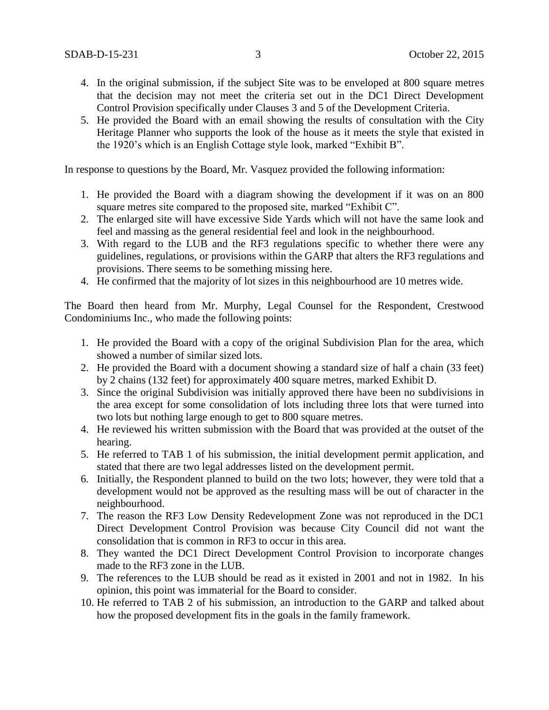- 4. In the original submission, if the subject Site was to be enveloped at 800 square metres that the decision may not meet the criteria set out in the DC1 Direct Development Control Provision specifically under Clauses 3 and 5 of the Development Criteria.
- 5. He provided the Board with an email showing the results of consultation with the City Heritage Planner who supports the look of the house as it meets the style that existed in the 1920's which is an English Cottage style look, marked "Exhibit B".

In response to questions by the Board, Mr. Vasquez provided the following information:

- 1. He provided the Board with a diagram showing the development if it was on an 800 square metres site compared to the proposed site, marked "Exhibit C".
- 2. The enlarged site will have excessive Side Yards which will not have the same look and feel and massing as the general residential feel and look in the neighbourhood.
- 3. With regard to the LUB and the RF3 regulations specific to whether there were any guidelines, regulations, or provisions within the GARP that alters the RF3 regulations and provisions. There seems to be something missing here.
- 4. He confirmed that the majority of lot sizes in this neighbourhood are 10 metres wide.

The Board then heard from Mr. Murphy, Legal Counsel for the Respondent, Crestwood Condominiums Inc., who made the following points:

- 1. He provided the Board with a copy of the original Subdivision Plan for the area, which showed a number of similar sized lots.
- 2. He provided the Board with a document showing a standard size of half a chain (33 feet) by 2 chains (132 feet) for approximately 400 square metres, marked Exhibit D.
- 3. Since the original Subdivision was initially approved there have been no subdivisions in the area except for some consolidation of lots including three lots that were turned into two lots but nothing large enough to get to 800 square metres.
- 4. He reviewed his written submission with the Board that was provided at the outset of the hearing.
- 5. He referred to TAB 1 of his submission, the initial development permit application, and stated that there are two legal addresses listed on the development permit.
- 6. Initially, the Respondent planned to build on the two lots; however, they were told that a development would not be approved as the resulting mass will be out of character in the neighbourhood.
- 7. The reason the RF3 Low Density Redevelopment Zone was not reproduced in the DC1 Direct Development Control Provision was because City Council did not want the consolidation that is common in RF3 to occur in this area.
- 8. They wanted the DC1 Direct Development Control Provision to incorporate changes made to the RF3 zone in the LUB.
- 9. The references to the LUB should be read as it existed in 2001 and not in 1982. In his opinion, this point was immaterial for the Board to consider.
- 10. He referred to TAB 2 of his submission, an introduction to the GARP and talked about how the proposed development fits in the goals in the family framework.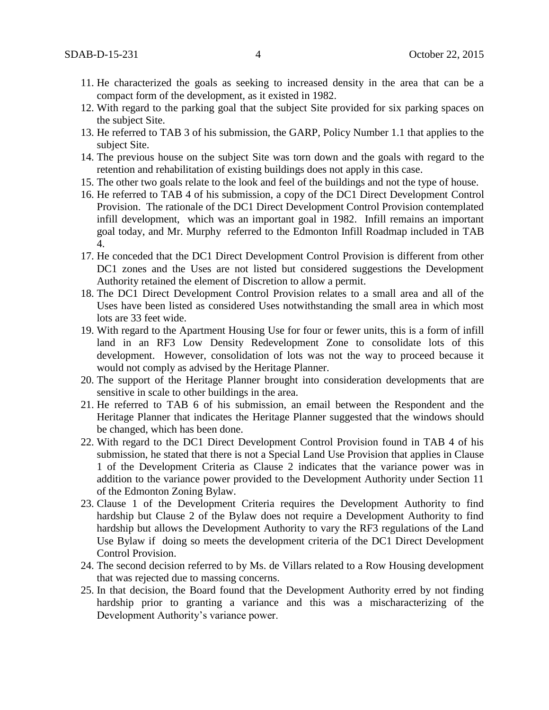- 11. He characterized the goals as seeking to increased density in the area that can be a compact form of the development, as it existed in 1982.
- 12. With regard to the parking goal that the subject Site provided for six parking spaces on the subject Site.
- 13. He referred to TAB 3 of his submission, the GARP, Policy Number 1.1 that applies to the subject Site.
- 14. The previous house on the subject Site was torn down and the goals with regard to the retention and rehabilitation of existing buildings does not apply in this case.
- 15. The other two goals relate to the look and feel of the buildings and not the type of house.
- 16. He referred to TAB 4 of his submission, a copy of the DC1 Direct Development Control Provision. The rationale of the DC1 Direct Development Control Provision contemplated infill development, which was an important goal in 1982. Infill remains an important goal today, and Mr. Murphy referred to the Edmonton Infill Roadmap included in TAB 4.
- 17. He conceded that the DC1 Direct Development Control Provision is different from other DC1 zones and the Uses are not listed but considered suggestions the Development Authority retained the element of Discretion to allow a permit.
- 18. The DC1 Direct Development Control Provision relates to a small area and all of the Uses have been listed as considered Uses notwithstanding the small area in which most lots are 33 feet wide.
- 19. With regard to the Apartment Housing Use for four or fewer units, this is a form of infill land in an RF3 Low Density Redevelopment Zone to consolidate lots of this development. However, consolidation of lots was not the way to proceed because it would not comply as advised by the Heritage Planner.
- 20. The support of the Heritage Planner brought into consideration developments that are sensitive in scale to other buildings in the area.
- 21. He referred to TAB 6 of his submission, an email between the Respondent and the Heritage Planner that indicates the Heritage Planner suggested that the windows should be changed, which has been done.
- 22. With regard to the DC1 Direct Development Control Provision found in TAB 4 of his submission, he stated that there is not a Special Land Use Provision that applies in Clause 1 of the Development Criteria as Clause 2 indicates that the variance power was in addition to the variance power provided to the Development Authority under Section 11 of the Edmonton Zoning Bylaw.
- 23. Clause 1 of the Development Criteria requires the Development Authority to find hardship but Clause 2 of the Bylaw does not require a Development Authority to find hardship but allows the Development Authority to vary the RF3 regulations of the Land Use Bylaw if doing so meets the development criteria of the DC1 Direct Development Control Provision.
- 24. The second decision referred to by Ms. de Villars related to a Row Housing development that was rejected due to massing concerns.
- 25. In that decision, the Board found that the Development Authority erred by not finding hardship prior to granting a variance and this was a mischaracterizing of the Development Authority's variance power.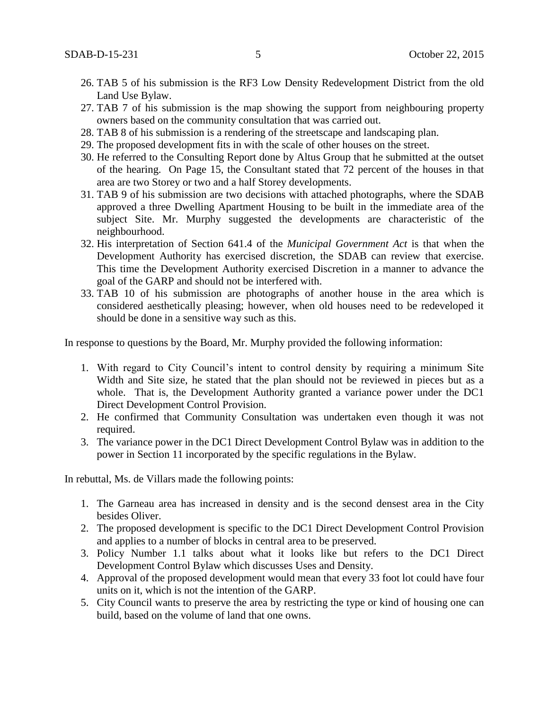- 26. TAB 5 of his submission is the RF3 Low Density Redevelopment District from the old Land Use Bylaw.
- 27. TAB 7 of his submission is the map showing the support from neighbouring property owners based on the community consultation that was carried out.
- 28. TAB 8 of his submission is a rendering of the streetscape and landscaping plan.
- 29. The proposed development fits in with the scale of other houses on the street.
- 30. He referred to the Consulting Report done by Altus Group that he submitted at the outset of the hearing. On Page 15, the Consultant stated that 72 percent of the houses in that area are two Storey or two and a half Storey developments.
- 31. TAB 9 of his submission are two decisions with attached photographs, where the SDAB approved a three Dwelling Apartment Housing to be built in the immediate area of the subject Site. Mr. Murphy suggested the developments are characteristic of the neighbourhood.
- 32. His interpretation of Section 641.4 of the *Municipal Government Act* is that when the Development Authority has exercised discretion, the SDAB can review that exercise. This time the Development Authority exercised Discretion in a manner to advance the goal of the GARP and should not be interfered with.
- 33. TAB 10 of his submission are photographs of another house in the area which is considered aesthetically pleasing; however, when old houses need to be redeveloped it should be done in a sensitive way such as this.

In response to questions by the Board, Mr. Murphy provided the following information:

- 1. With regard to City Council's intent to control density by requiring a minimum Site Width and Site size, he stated that the plan should not be reviewed in pieces but as a whole. That is, the Development Authority granted a variance power under the DC1 Direct Development Control Provision.
- 2. He confirmed that Community Consultation was undertaken even though it was not required.
- 3. The variance power in the DC1 Direct Development Control Bylaw was in addition to the power in Section 11 incorporated by the specific regulations in the Bylaw.

In rebuttal, Ms. de Villars made the following points:

- 1. The Garneau area has increased in density and is the second densest area in the City besides Oliver.
- 2. The proposed development is specific to the DC1 Direct Development Control Provision and applies to a number of blocks in central area to be preserved.
- 3. Policy Number 1.1 talks about what it looks like but refers to the DC1 Direct Development Control Bylaw which discusses Uses and Density.
- 4. Approval of the proposed development would mean that every 33 foot lot could have four units on it, which is not the intention of the GARP.
- 5. City Council wants to preserve the area by restricting the type or kind of housing one can build, based on the volume of land that one owns.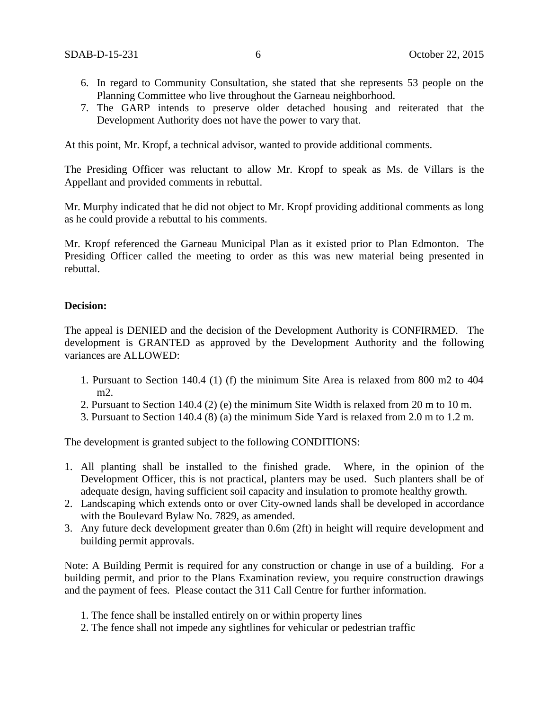- 6. In regard to Community Consultation, she stated that she represents 53 people on the Planning Committee who live throughout the Garneau neighborhood.
- 7. The GARP intends to preserve older detached housing and reiterated that the Development Authority does not have the power to vary that.

At this point, Mr. Kropf, a technical advisor, wanted to provide additional comments.

The Presiding Officer was reluctant to allow Mr. Kropf to speak as Ms. de Villars is the Appellant and provided comments in rebuttal.

Mr. Murphy indicated that he did not object to Mr. Kropf providing additional comments as long as he could provide a rebuttal to his comments.

Mr. Kropf referenced the Garneau Municipal Plan as it existed prior to Plan Edmonton. The Presiding Officer called the meeting to order as this was new material being presented in rebuttal.

### **Decision:**

The appeal is DENIED and the decision of the Development Authority is CONFIRMED. The development is GRANTED as approved by the Development Authority and the following variances are ALLOWED:

- 1. Pursuant to Section 140.4 (1) (f) the minimum Site Area is relaxed from 800 m2 to 404 m2.
- 2. Pursuant to Section 140.4 (2) (e) the minimum Site Width is relaxed from 20 m to 10 m.
- 3. Pursuant to Section 140.4 (8) (a) the minimum Side Yard is relaxed from 2.0 m to 1.2 m.

The development is granted subject to the following CONDITIONS:

- 1. All planting shall be installed to the finished grade. Where, in the opinion of the Development Officer, this is not practical, planters may be used. Such planters shall be of adequate design, having sufficient soil capacity and insulation to promote healthy growth.
- 2. Landscaping which extends onto or over City-owned lands shall be developed in accordance with the Boulevard Bylaw No. 7829, as amended.
- 3. Any future deck development greater than 0.6m (2ft) in height will require development and building permit approvals.

Note: A Building Permit is required for any construction or change in use of a building. For a building permit, and prior to the Plans Examination review, you require construction drawings and the payment of fees. Please contact the 311 Call Centre for further information.

- 1. The fence shall be installed entirely on or within property lines
- 2. The fence shall not impede any sightlines for vehicular or pedestrian traffic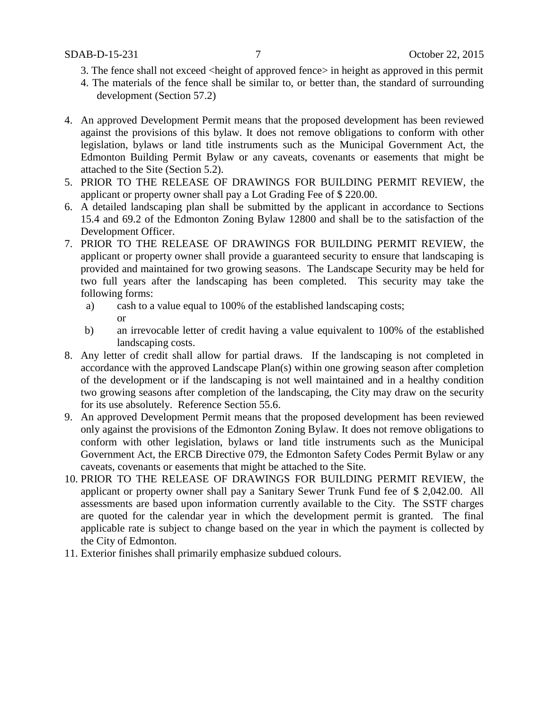- 3. The fence shall not exceed <height of approved fence> in height as approved in this permit
- 4. The materials of the fence shall be similar to, or better than, the standard of surrounding development (Section 57.2)
- 4. An approved Development Permit means that the proposed development has been reviewed against the provisions of this bylaw. It does not remove obligations to conform with other legislation, bylaws or land title instruments such as the Municipal Government Act, the Edmonton Building Permit Bylaw or any caveats, covenants or easements that might be attached to the Site (Section 5.2).
- 5. PRIOR TO THE RELEASE OF DRAWINGS FOR BUILDING PERMIT REVIEW, the applicant or property owner shall pay a Lot Grading Fee of \$ 220.00.
- 6. A detailed landscaping plan shall be submitted by the applicant in accordance to Sections 15.4 and 69.2 of the Edmonton Zoning Bylaw 12800 and shall be to the satisfaction of the Development Officer.
- 7. PRIOR TO THE RELEASE OF DRAWINGS FOR BUILDING PERMIT REVIEW, the applicant or property owner shall provide a guaranteed security to ensure that landscaping is provided and maintained for two growing seasons. The Landscape Security may be held for two full years after the landscaping has been completed. This security may take the following forms:
	- a) cash to a value equal to 100% of the established landscaping costs; or
	- b) an irrevocable letter of credit having a value equivalent to 100% of the established landscaping costs.
- 8. Any letter of credit shall allow for partial draws. If the landscaping is not completed in accordance with the approved Landscape Plan(s) within one growing season after completion of the development or if the landscaping is not well maintained and in a healthy condition two growing seasons after completion of the landscaping, the City may draw on the security for its use absolutely. Reference Section 55.6.
- 9. An approved Development Permit means that the proposed development has been reviewed only against the provisions of the Edmonton Zoning Bylaw. It does not remove obligations to conform with other legislation, bylaws or land title instruments such as the Municipal Government Act, the ERCB Directive 079, the Edmonton Safety Codes Permit Bylaw or any caveats, covenants or easements that might be attached to the Site.
- 10. PRIOR TO THE RELEASE OF DRAWINGS FOR BUILDING PERMIT REVIEW, the applicant or property owner shall pay a Sanitary Sewer Trunk Fund fee of \$ 2,042.00. All assessments are based upon information currently available to the City. The SSTF charges are quoted for the calendar year in which the development permit is granted. The final applicable rate is subject to change based on the year in which the payment is collected by the City of Edmonton.
- 11. Exterior finishes shall primarily emphasize subdued colours.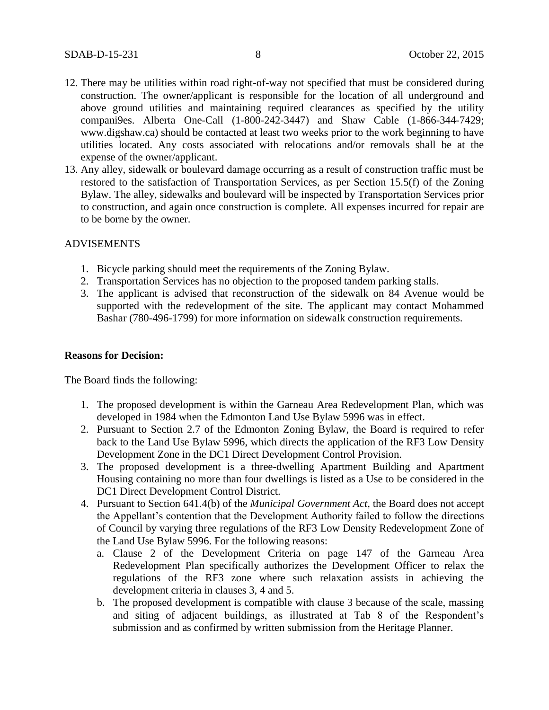- 12. There may be utilities within road right-of-way not specified that must be considered during construction. The owner/applicant is responsible for the location of all underground and above ground utilities and maintaining required clearances as specified by the utility compani9es. Alberta One-Call (1-800-242-3447) and Shaw Cable (1-866-344-7429; www.digshaw.ca) should be contacted at least two weeks prior to the work beginning to have utilities located. Any costs associated with relocations and/or removals shall be at the expense of the owner/applicant.
- 13. Any alley, sidewalk or boulevard damage occurring as a result of construction traffic must be restored to the satisfaction of Transportation Services, as per Section 15.5(f) of the Zoning Bylaw. The alley, sidewalks and boulevard will be inspected by Transportation Services prior to construction, and again once construction is complete. All expenses incurred for repair are to be borne by the owner.

### ADVISEMENTS

- 1. Bicycle parking should meet the requirements of the Zoning Bylaw.
- 2. Transportation Services has no objection to the proposed tandem parking stalls.
- 3. The applicant is advised that reconstruction of the sidewalk on 84 Avenue would be supported with the redevelopment of the site. The applicant may contact Mohammed Bashar (780-496-1799) for more information on sidewalk construction requirements.

### **Reasons for Decision:**

The Board finds the following:

- 1. The proposed development is within the Garneau Area Redevelopment Plan, which was developed in 1984 when the Edmonton Land Use Bylaw 5996 was in effect.
- 2. Pursuant to Section 2.7 of the Edmonton Zoning Bylaw, the Board is required to refer back to the Land Use Bylaw 5996, which directs the application of the RF3 Low Density Development Zone in the DC1 Direct Development Control Provision.
- 3. The proposed development is a three-dwelling Apartment Building and Apartment Housing containing no more than four dwellings is listed as a Use to be considered in the DC1 Direct Development Control District.
- 4. Pursuant to Section 641.4(b) of the *Municipal Government Act*, the Board does not accept the Appellant's contention that the Development Authority failed to follow the directions of Council by varying three regulations of the RF3 Low Density Redevelopment Zone of the Land Use Bylaw 5996. For the following reasons:
	- a. Clause 2 of the Development Criteria on page 147 of the Garneau Area Redevelopment Plan specifically authorizes the Development Officer to relax the regulations of the RF3 zone where such relaxation assists in achieving the development criteria in clauses 3, 4 and 5.
	- b. The proposed development is compatible with clause 3 because of the scale, massing and siting of adjacent buildings, as illustrated at Tab 8 of the Respondent's submission and as confirmed by written submission from the Heritage Planner.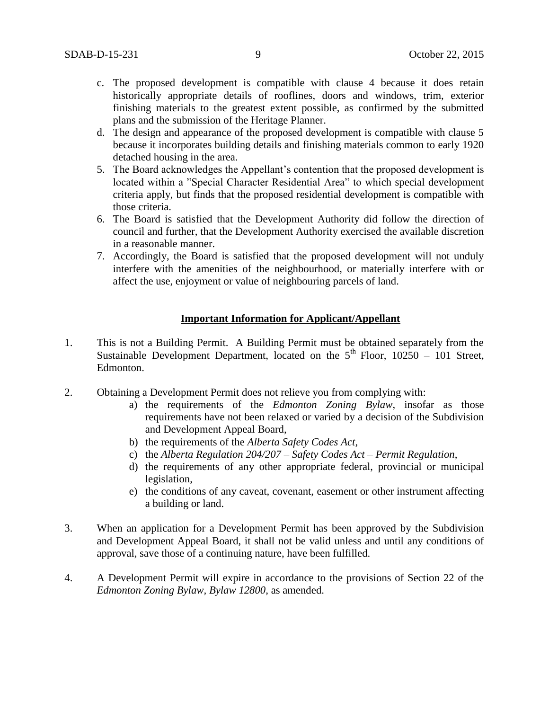- c. The proposed development is compatible with clause 4 because it does retain historically appropriate details of rooflines, doors and windows, trim, exterior finishing materials to the greatest extent possible, as confirmed by the submitted plans and the submission of the Heritage Planner.
- d. The design and appearance of the proposed development is compatible with clause 5 because it incorporates building details and finishing materials common to early 1920 detached housing in the area.
- 5. The Board acknowledges the Appellant's contention that the proposed development is located within a "Special Character Residential Area" to which special development criteria apply, but finds that the proposed residential development is compatible with those criteria.
- 6. The Board is satisfied that the Development Authority did follow the direction of council and further, that the Development Authority exercised the available discretion in a reasonable manner.
- 7. Accordingly, the Board is satisfied that the proposed development will not unduly interfere with the amenities of the neighbourhood, or materially interfere with or affect the use, enjoyment or value of neighbouring parcels of land.

## **Important Information for Applicant/Appellant**

- 1. This is not a Building Permit. A Building Permit must be obtained separately from the Sustainable Development Department, located on the  $5<sup>th</sup>$  Floor, 10250 – 101 Street, Edmonton.
- 2. Obtaining a Development Permit does not relieve you from complying with:
	- a) the requirements of the *Edmonton Zoning Bylaw*, insofar as those requirements have not been relaxed or varied by a decision of the Subdivision and Development Appeal Board,
	- b) the requirements of the *Alberta Safety Codes Act*,
	- c) the *Alberta Regulation 204/207 – Safety Codes Act – Permit Regulation*,
	- d) the requirements of any other appropriate federal, provincial or municipal legislation,
	- e) the conditions of any caveat, covenant, easement or other instrument affecting a building or land.
- 3. When an application for a Development Permit has been approved by the Subdivision and Development Appeal Board, it shall not be valid unless and until any conditions of approval, save those of a continuing nature, have been fulfilled.
- 4. A Development Permit will expire in accordance to the provisions of Section 22 of the *Edmonton Zoning Bylaw, Bylaw 12800*, as amended.